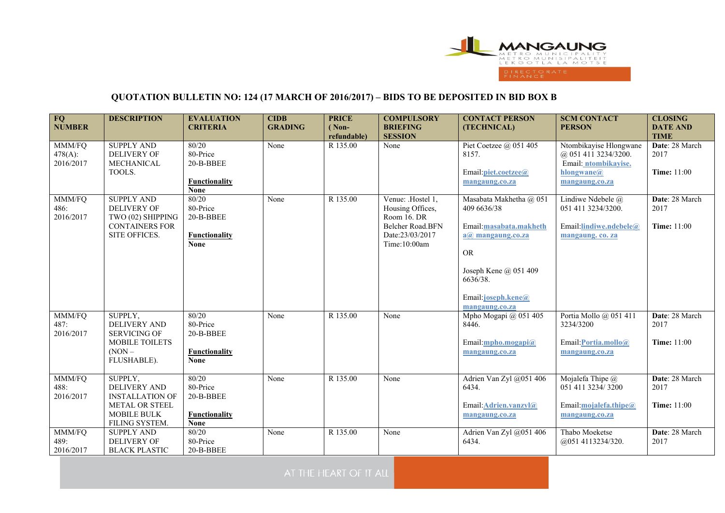

## **QUOTATION BULLETIN NO: 124 (17 MARCH OF 2016/2017) – BIDS TO BE DEPOSITED IN BID BOX B**

| FQ<br><b>NUMBER</b>            | <b>DESCRIPTION</b>                                                                                          | <b>EVALUATION</b><br><b>CRITERIA</b>                                  | <b>CIDB</b><br><b>GRADING</b> | <b>PRICE</b><br>$( Non-$<br>refundable) | <b>COMPULSORY</b><br><b>BRIEFING</b><br><b>SESSION</b>                                                      | <b>CONTACT PERSON</b><br>(TECHNICAL)                                                                                                                                                            | <b>SCM CONTACT</b><br><b>PERSON</b>                                                                    | <b>CLOSING</b><br><b>DATE AND</b><br><b>TIME</b> |
|--------------------------------|-------------------------------------------------------------------------------------------------------------|-----------------------------------------------------------------------|-------------------------------|-----------------------------------------|-------------------------------------------------------------------------------------------------------------|-------------------------------------------------------------------------------------------------------------------------------------------------------------------------------------------------|--------------------------------------------------------------------------------------------------------|--------------------------------------------------|
| MMM/FQ<br>478(A):<br>2016/2017 | <b>SUPPLY AND</b><br>DELIVERY OF<br>MECHANICAL<br>TOOLS.                                                    | 80/20<br>80-Price<br>20-B-BBEE<br>Functionality<br><b>None</b>        | None                          | R 135.00                                | None                                                                                                        | Piet Coetzee $(a)$ 051 405<br>8157.<br>Email: piet.coetzee@<br>mangaung.co.za                                                                                                                   | Ntombikayise Hlongwane<br>@ 051 411 3234/3200.<br>Email: ntombikayise.<br>hlongwane@<br>mangaung.co.za | Date: 28 March<br>2017<br><b>Time:</b> 11:00     |
| MMM/FQ<br>486:<br>2016/2017    | <b>SUPPLY AND</b><br>DELIVERY OF<br>TWO (02) SHIPPING<br><b>CONTAINERS FOR</b><br>SITE OFFICES.             | 80/20<br>80-Price<br>20-B-BBEE<br><b>Functionality</b><br><b>None</b> | None                          | R 135.00                                | Venue: .Hostel 1,<br>Housing Offices,<br>Room 16. DR<br>Belcher Road.BFN<br>Date:23/03/2017<br>Time:10:00am | Masabata Makhetha @ 051<br>409 6636/38<br>Email:masabata.makheth<br>$a(\overline{a})$ mangaung.co.za<br><b>OR</b><br>Joseph Kene @ 051 409<br>6636/38.<br>Email: joseph.kene@<br>mangaung.co.za | Lindiwe Ndebele @<br>051 411 3234/3200.<br>Email:lindiwe.ndebele@<br>mangaung. co. za                  | Date: 28 March<br>2017<br><b>Time:</b> 11:00     |
| MMM/FQ<br>487:<br>2016/2017    | SUPPLY,<br>DELIVERY AND<br><b>SERVICING OF</b><br><b>MOBILE TOILETS</b><br>$(NON -$<br>FLUSHABLE).          | 80/20<br>80-Price<br>20-B-BBEE<br><b>Functionality</b><br><b>None</b> | None                          | R 135.00                                | None                                                                                                        | Mpho Mogapi @ 051 405<br>8446.<br>Email: $mpho.mogapi@$<br>mangaung.co.za                                                                                                                       | Portia Mollo @ 051 411<br>3234/3200<br>Email: Portia.mollo@<br>mangaung.co.za                          | Date: 28 March<br>2017<br><b>Time: 11:00</b>     |
| MMM/FQ<br>488:<br>2016/2017    | SUPPLY,<br>DELIVERY AND<br><b>INSTALLATION OF</b><br><b>METAL OR STEEL</b><br>MOBILE BULK<br>FILING SYSTEM. | 80/20<br>80-Price<br>20-B-BBEE<br>Functionality<br><b>None</b>        | None                          | R 135.00                                | None                                                                                                        | Adrien Van Zyl @051 406<br>6434.<br>Email: Adrien.vanzyl@<br>mangaung.co.za                                                                                                                     | Mojalefa Thipe @<br>051 411 3234/3200<br>Email:mojalefa.thipe@<br>mangaung.co.za                       | Date: 28 March<br>2017<br><b>Time:</b> 11:00     |
| MMM/FQ<br>489:<br>2016/2017    | <b>SUPPLY AND</b><br><b>DELIVERY OF</b><br><b>BLACK PLASTIC</b>                                             | 80/20<br>80-Price<br>20-B-BBEE                                        | None                          | R 135.00                                | None                                                                                                        | Adrien Van Zyl @051 406<br>6434.                                                                                                                                                                | Thabo Moeketse<br>@051 4113234/320.                                                                    | Date: 28 March<br>2017                           |